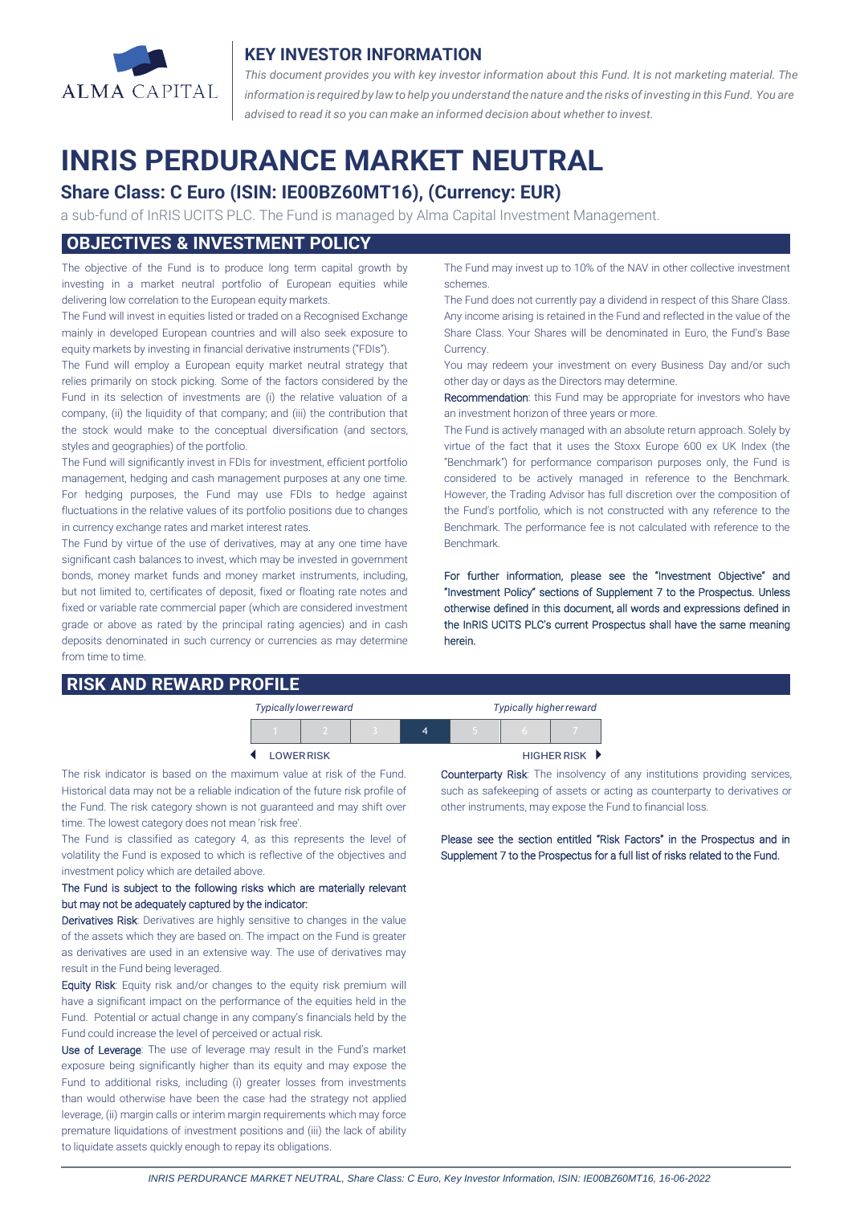

## **KEY INVESTOR INFORMATION**

*This document provides you with key investor information about this Fund. It is not marketing material. The* information is required by law to help you understand the nature and the risks of investing in this Fund. You are *advised to read it so you can make an informed decision about whether to invest.*

# **INRIS PERDURANCE MARKET NEUTRAL**

# **Share Class: C Euro (ISIN: IE00BZ60MT16), (Currency: EUR)**

a sub-fund of InRIS UCITS PLC. The Fund is managed by Alma Capital Investment Management.

## **OBJECTIVES & INVESTMENT POLICY**

The objective of the Fund is to produce long term capital growth by investing in a market neutral portfolio of European equities while delivering low correlation to the European equity markets.

The Fund will invest in equities listed or traded on a Recognised Exchange mainly in developed European countries and will also seek exposure to equity markets by investing in financial derivative instruments ("FDIs").

The Fund will employ a European equity market neutral strategy that relies primarily on stock picking. Some of the factors considered by the Fund in its selection of investments are (i) the relative valuation of a company, (ii) the liquidity of that company; and (iii) the contribution that the stock would make to the conceptual diversification (and sectors, styles and geographies) of the portfolio.

The Fund will significantly invest in FDIs for investment, efficient portfolio management, hedging and cash management purposes at any one time. For hedging purposes, the Fund may use FDIs to hedge against fluctuations in the relative values of its portfolio positions due to changes in currency exchange rates and market interest rates.

The Fund by virtue of the use of derivatives, may at any one time have significant cash balances to invest, which may be invested in government bonds, money market funds and money market instruments, including, but not limited to, certificates of deposit, fixed or floating rate notes and fixed or variable rate commercial paper (which are considered investment grade or above as rated by the principal rating agencies) and in cash deposits denominated in such currency or currencies as may determine from time to time.

# **RISK AND REWARD PROFILE**

The Fund may invest up to 10% of the NAV in other collective investment schemes.

The Fund does not currently pay a dividend in respect of this Share Class. Any income arising is retained in the Fund and reflected in the value of the Share Class. Your Shares will be denominated in Euro, the Fund's Base Currency.

You may redeem your investment on every Business Day and/or such other day or days as the Directors may determine.

Recommendation: this Fund may be appropriate for investors who have an investment horizon of three years or more.

The Fund is actively managed with an absolute return approach. Solely by virtue of the fact that it uses the Stoxx Europe 600 ex UK Index (the "Benchmark") for performance comparison purposes only, the Fund is considered to be actively managed in reference to the Benchmark. However, the Trading Advisor has full discretion over the composition of the Fund's portfolio, which is not constructed with any reference to the Benchmark. The performance fee is not calculated with reference to the Benchmark.

For further information, please see the "Investment Objective" and "Investment Policy" sections of Supplement 7 to the Prospectus. Unless otherwise defined in this document, all words and expressions defined in the InRIS UCITS PLC's current Prospectus shall have the same meaning herein.

| <b>Typically lower reward</b> |  |  |  | <b>Typically higher reward</b> |                    |  |
|-------------------------------|--|--|--|--------------------------------|--------------------|--|
|                               |  |  |  |                                |                    |  |
| <b>LOWER RISK</b>             |  |  |  |                                | <b>HIGHER RISK</b> |  |

The risk indicator is based on the maximum value at risk of the Fund. Historical data may not be a reliable indication of the future risk profile of the Fund. The risk category shown is not guaranteed and may shift over time. The lowest category does not mean 'risk free'.

The Fund is classified as category 4, as this represents the level of volatility the Fund is exposed to which is reflective of the objectives and investment policy which are detailed above.

#### The Fund is subject to the following risks which are materially relevant but may not be adequately captured by the indicator:

Derivatives Risk: Derivatives are highly sensitive to changes in the value of the assets which they are based on. The impact on the Fund is greater as derivatives are used in an extensive way. The use of derivatives may result in the Fund being leveraged.

Equity Risk: Equity risk and/or changes to the equity risk premium will have a significant impact on the performance of the equities held in the Fund. Potential or actual change in any company's financials held by the Fund could increase the level of perceived or actual risk.

Use of Leverage: The use of leverage may result in the Fund's market exposure being significantly higher than its equity and may expose the Fund to additional risks, including (i) greater losses from investments than would otherwise have been the case had the strategy not applied leverage, (ii) margin calls or interim margin requirements which may force premature liquidations of investment positions and (iii) the lack of ability to liquidate assets quickly enough to repay its obligations.

Counterparty Risk: The insolvency of any institutions providing services, such as safekeeping of assets or acting as counterparty to derivatives or other instruments, may expose the Fund to financial loss.

Please see the section entitled "Risk Factors" in the Prospectus and in Supplement 7 to the Prospectus for a full list of risks related to the Fund.